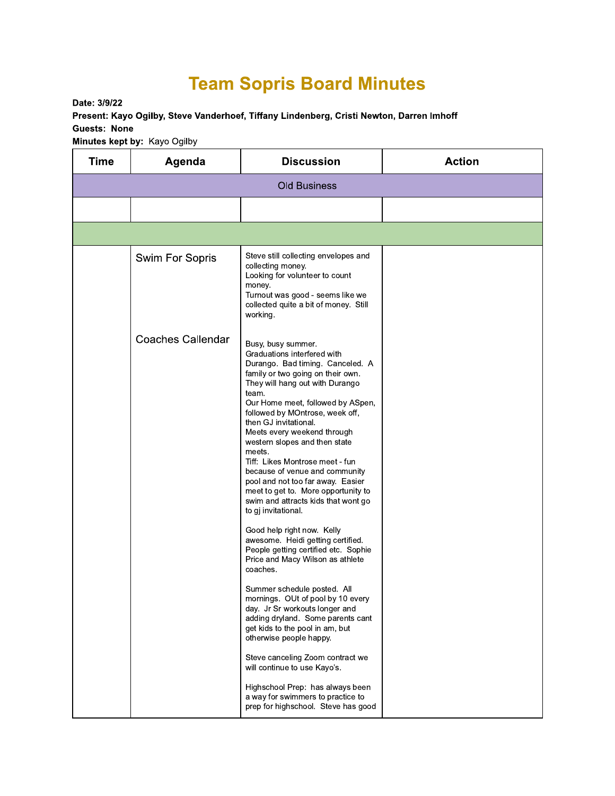## **Team Sopris Board Minutes**

Date: 3/9/22

Present: Kayo Ogilby, Steve Vanderhoef, Tiffany Lindenberg, Cristi Newton, Darren Imhoff **Guests: None** 

Minutes kept by: Kayo Ogilby

| <b>Time</b>         | Agenda                   | <b>Discussion</b>                                                                                                                                                                                                                                                                                                                                                                                                                                                                                                                                                                                                                                                                                                                                                                                                                                                                                                                                                                                                                                                                 | <b>Action</b> |  |  |  |  |
|---------------------|--------------------------|-----------------------------------------------------------------------------------------------------------------------------------------------------------------------------------------------------------------------------------------------------------------------------------------------------------------------------------------------------------------------------------------------------------------------------------------------------------------------------------------------------------------------------------------------------------------------------------------------------------------------------------------------------------------------------------------------------------------------------------------------------------------------------------------------------------------------------------------------------------------------------------------------------------------------------------------------------------------------------------------------------------------------------------------------------------------------------------|---------------|--|--|--|--|
| <b>Old Business</b> |                          |                                                                                                                                                                                                                                                                                                                                                                                                                                                                                                                                                                                                                                                                                                                                                                                                                                                                                                                                                                                                                                                                                   |               |  |  |  |  |
|                     |                          |                                                                                                                                                                                                                                                                                                                                                                                                                                                                                                                                                                                                                                                                                                                                                                                                                                                                                                                                                                                                                                                                                   |               |  |  |  |  |
|                     |                          |                                                                                                                                                                                                                                                                                                                                                                                                                                                                                                                                                                                                                                                                                                                                                                                                                                                                                                                                                                                                                                                                                   |               |  |  |  |  |
|                     | Swim For Sopris          | Steve still collecting envelopes and<br>collecting money.<br>Looking for volunteer to count<br>money.<br>Turnout was good - seems like we<br>collected quite a bit of money. Still<br>working.                                                                                                                                                                                                                                                                                                                                                                                                                                                                                                                                                                                                                                                                                                                                                                                                                                                                                    |               |  |  |  |  |
|                     | <b>Coaches Callendar</b> | Busy, busy summer.<br>Graduations interfered with<br>Durango. Bad timing. Canceled. A<br>family or two going on their own.<br>They will hang out with Durango<br>team.<br>Our Home meet, followed by ASpen,<br>followed by MOntrose, week off,<br>then GJ invitational.<br>Meets every weekend through<br>western slopes and then state<br>meets.<br>Tiff: Likes Montrose meet - fun<br>because of venue and community<br>pool and not too far away. Easier<br>meet to get to. More opportunity to<br>swim and attracts kids that wont go<br>to gj invitational.<br>Good help right now. Kelly<br>awesome. Heidi getting certified.<br>People getting certified etc. Sophie<br>Price and Macy Wilson as athlete<br>coaches.<br>Summer schedule posted. All<br>mornings. OUt of pool by 10 every<br>day. Jr Sr workouts longer and<br>adding dryland. Some parents cant<br>get kids to the pool in am, but<br>otherwise people happy.<br>Steve canceling Zoom contract we<br>will continue to use Kayo's.<br>Highschool Prep: has always been<br>a way for swimmers to practice to |               |  |  |  |  |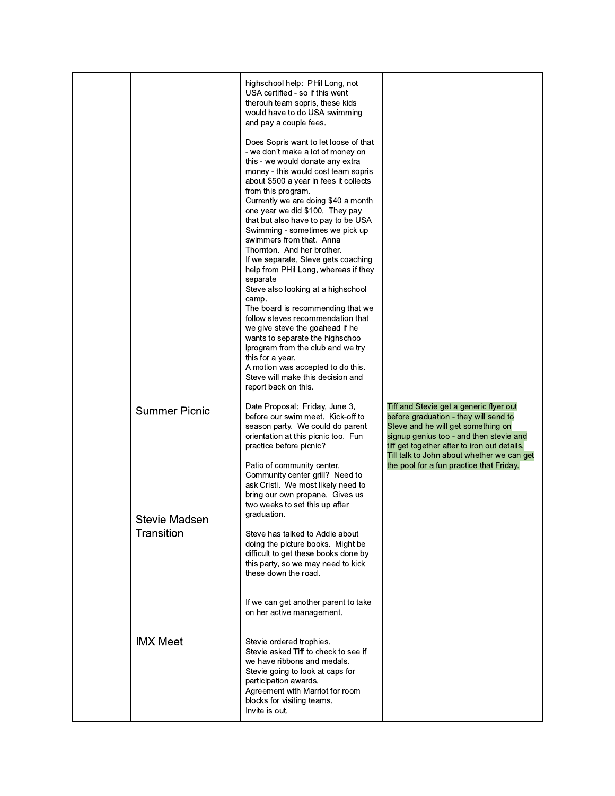|                             | highschool help: PHil Long, not<br>USA certified - so if this went<br>therouh team sopris, these kids<br>would have to do USA swimming<br>and pay a couple fees.<br>Does Sopris want to let loose of that<br>- we don't make a lot of money on<br>this - we would donate any extra<br>money - this would cost team sopris<br>about \$500 a year in fees it collects<br>from this program.<br>Currently we are doing \$40 a month<br>one year we did \$100. They pay<br>that but also have to pay to be USA<br>Swimming - sometimes we pick up<br>swimmers from that. Anna<br>Thornton. And her brother.<br>If we separate, Steve gets coaching<br>help from PHil Long, whereas if they<br>separate<br>Steve also looking at a highschool<br>camp.<br>The board is recommending that we |                                                                                                                                                                                                                                                                  |
|-----------------------------|----------------------------------------------------------------------------------------------------------------------------------------------------------------------------------------------------------------------------------------------------------------------------------------------------------------------------------------------------------------------------------------------------------------------------------------------------------------------------------------------------------------------------------------------------------------------------------------------------------------------------------------------------------------------------------------------------------------------------------------------------------------------------------------|------------------------------------------------------------------------------------------------------------------------------------------------------------------------------------------------------------------------------------------------------------------|
| <b>Summer Picnic</b>        | follow steves recommendation that<br>we give steve the goahead if he<br>wants to separate the highschoo<br>Iprogram from the club and we try<br>this for a year.<br>A motion was accepted to do this.<br>Steve will make this decision and<br>report back on this.<br>Date Proposal: Friday, June 3,                                                                                                                                                                                                                                                                                                                                                                                                                                                                                   | Tiff and Stevie get a generic flyer out                                                                                                                                                                                                                          |
|                             | before our swim meet. Kick-off to<br>season party. We could do parent<br>orientation at this picnic too. Fun<br>practice before picnic?<br>Patio of community center.<br>Community center grill? Need to<br>ask Cristi. We most likely need to<br>bring our own propane. Gives us<br>two weeks to set this up after                                                                                                                                                                                                                                                                                                                                                                                                                                                                    | before graduation - they will send to<br>Steve and he will get something on<br>signup genius too - and then stevie and<br>tiff get together after to iron out details.<br>Till talk to John about whether we can get<br>the pool for a fun practice that Friday. |
| Stevie Madsen<br>Transition | graduation.<br>Steve has talked to Addie about<br>doing the picture books. Might be<br>difficult to get these books done by<br>this party, so we may need to kick<br>these down the road.<br>If we can get another parent to take<br>on her active management.                                                                                                                                                                                                                                                                                                                                                                                                                                                                                                                         |                                                                                                                                                                                                                                                                  |
| <b>IMX Meet</b>             | Stevie ordered trophies.<br>Stevie asked Tiff to check to see if<br>we have ribbons and medals.<br>Stevie going to look at caps for<br>participation awards.<br>Agreement with Marriot for room<br>blocks for visiting teams.<br>Invite is out.                                                                                                                                                                                                                                                                                                                                                                                                                                                                                                                                        |                                                                                                                                                                                                                                                                  |